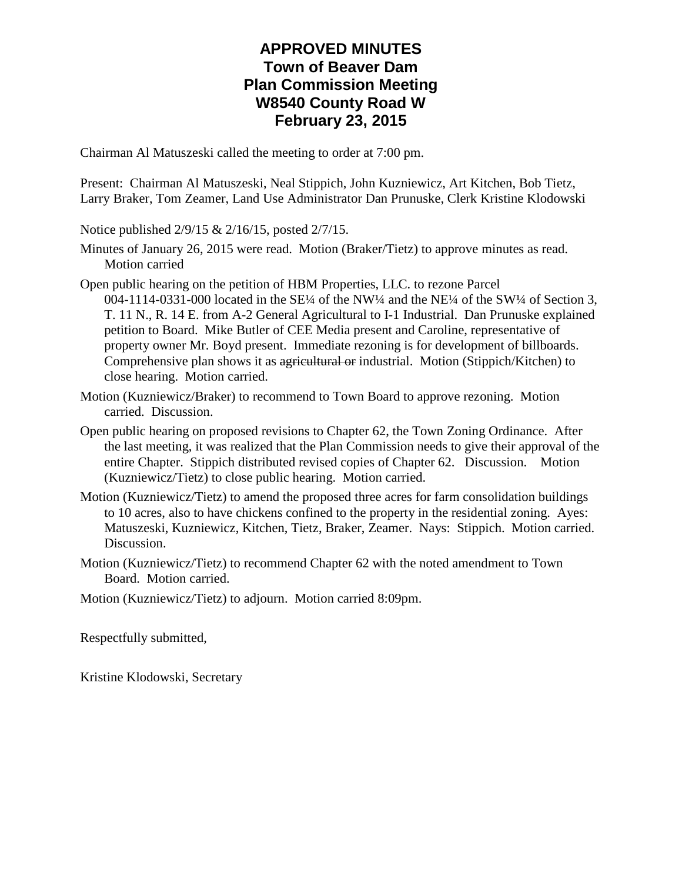## **APPROVED MINUTES Town of Beaver Dam Plan Commission Meeting W8540 County Road W February 23, 2015**

Chairman Al Matuszeski called the meeting to order at 7:00 pm.

Present: Chairman Al Matuszeski, Neal Stippich, John Kuzniewicz, Art Kitchen, Bob Tietz, Larry Braker, Tom Zeamer, Land Use Administrator Dan Prunuske, Clerk Kristine Klodowski

Notice published 2/9/15 & 2/16/15, posted 2/7/15.

- Minutes of January 26, 2015 were read. Motion (Braker/Tietz) to approve minutes as read. Motion carried
- Open public hearing on the petition of HBM Properties, LLC. to rezone Parcel 004-1114-0331-000 located in the SE¼ of the NW¼ and the NE¼ of the SW¼ of Section 3, T. 11 N., R. 14 E. from A-2 General Agricultural to I-1 Industrial. Dan Prunuske explained petition to Board. Mike Butler of CEE Media present and Caroline, representative of property owner Mr. Boyd present. Immediate rezoning is for development of billboards. Comprehensive plan shows it as agricultural or industrial. Motion (Stippich/Kitchen) to close hearing. Motion carried.
- Motion (Kuzniewicz/Braker) to recommend to Town Board to approve rezoning. Motion carried. Discussion.
- Open public hearing on proposed revisions to Chapter 62, the Town Zoning Ordinance. After the last meeting, it was realized that the Plan Commission needs to give their approval of the entire Chapter. Stippich distributed revised copies of Chapter 62. Discussion. Motion (Kuzniewicz/Tietz) to close public hearing. Motion carried.
- Motion (Kuzniewicz/Tietz) to amend the proposed three acres for farm consolidation buildings to 10 acres, also to have chickens confined to the property in the residential zoning. Ayes: Matuszeski, Kuzniewicz, Kitchen, Tietz, Braker, Zeamer. Nays: Stippich. Motion carried. Discussion.
- Motion (Kuzniewicz/Tietz) to recommend Chapter 62 with the noted amendment to Town Board. Motion carried.
- Motion (Kuzniewicz/Tietz) to adjourn. Motion carried 8:09pm.

Respectfully submitted,

Kristine Klodowski, Secretary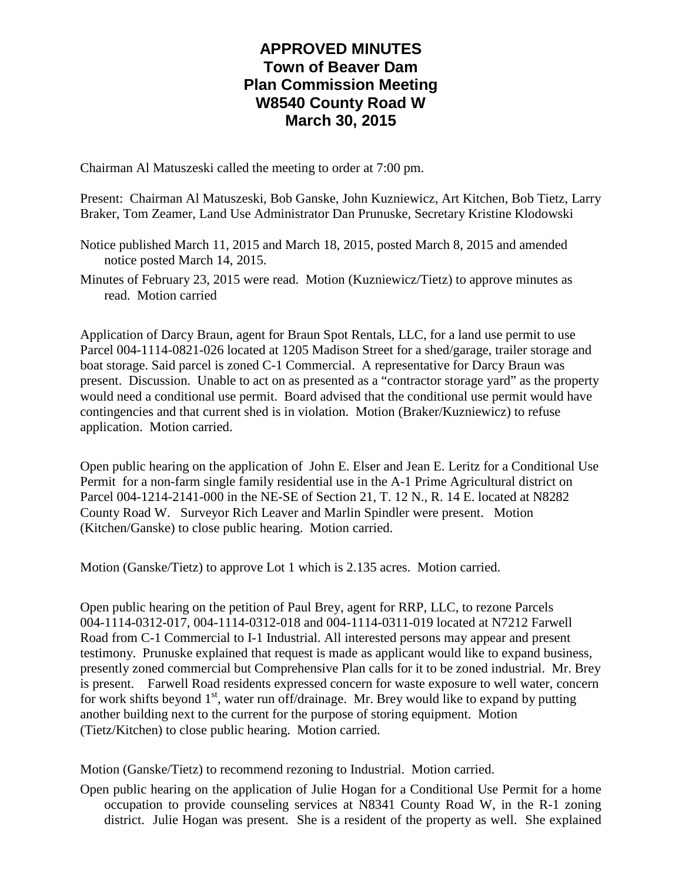## **APPROVED MINUTES Town of Beaver Dam Plan Commission Meeting W8540 County Road W March 30, 2015**

Chairman Al Matuszeski called the meeting to order at 7:00 pm.

Present: Chairman Al Matuszeski, Bob Ganske, John Kuzniewicz, Art Kitchen, Bob Tietz, Larry Braker, Tom Zeamer, Land Use Administrator Dan Prunuske, Secretary Kristine Klodowski

Notice published March 11, 2015 and March 18, 2015, posted March 8, 2015 and amended notice posted March 14, 2015.

Minutes of February 23, 2015 were read. Motion (Kuzniewicz/Tietz) to approve minutes as read. Motion carried

Application of Darcy Braun, agent for Braun Spot Rentals, LLC, for a land use permit to use Parcel 004-1114-0821-026 located at 1205 Madison Street for a shed/garage, trailer storage and boat storage. Said parcel is zoned C-1 Commercial. A representative for Darcy Braun was present. Discussion. Unable to act on as presented as a "contractor storage yard" as the property would need a conditional use permit. Board advised that the conditional use permit would have contingencies and that current shed is in violation. Motion (Braker/Kuzniewicz) to refuse application. Motion carried.

Open public hearing on the application of John E. Elser and Jean E. Leritz for a Conditional Use Permit for a non-farm single family residential use in the A-1 Prime Agricultural district on Parcel 004-1214-2141-000 in the NE-SE of Section 21, T. 12 N., R. 14 E. located at N8282 County Road W. Surveyor Rich Leaver and Marlin Spindler were present. Motion (Kitchen/Ganske) to close public hearing. Motion carried.

Motion (Ganske/Tietz) to approve Lot 1 which is 2.135 acres. Motion carried.

Open public hearing on the petition of Paul Brey, agent for RRP, LLC, to rezone Parcels 004-1114-0312-017, 004-1114-0312-018 and 004-1114-0311-019 located at N7212 Farwell Road from C-1 Commercial to I-1 Industrial. All interested persons may appear and present testimony. Prunuske explained that request is made as applicant would like to expand business, presently zoned commercial but Comprehensive Plan calls for it to be zoned industrial. Mr. Brey is present. Farwell Road residents expressed concern for waste exposure to well water, concern for work shifts beyond  $1<sup>st</sup>$ , water run off/drainage. Mr. Brey would like to expand by putting another building next to the current for the purpose of storing equipment. Motion (Tietz/Kitchen) to close public hearing. Motion carried.

Motion (Ganske/Tietz) to recommend rezoning to Industrial. Motion carried.

Open public hearing on the application of Julie Hogan for a Conditional Use Permit for a home occupation to provide counseling services at N8341 County Road W, in the R-1 zoning district. Julie Hogan was present. She is a resident of the property as well. She explained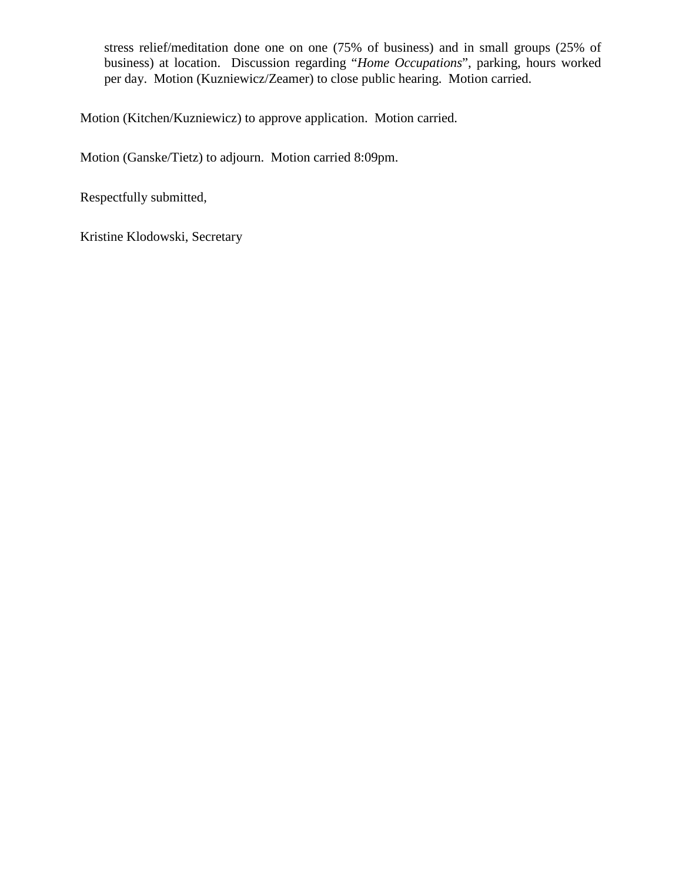stress relief/meditation done one on one (75% of business) and in small groups (25% of business) at location. Discussion regarding "*Home Occupations*", parking, hours worked per day. Motion (Kuzniewicz/Zeamer) to close public hearing. Motion carried.

Motion (Kitchen/Kuzniewicz) to approve application. Motion carried.

Motion (Ganske/Tietz) to adjourn. Motion carried 8:09pm.

Respectfully submitted,

Kristine Klodowski, Secretary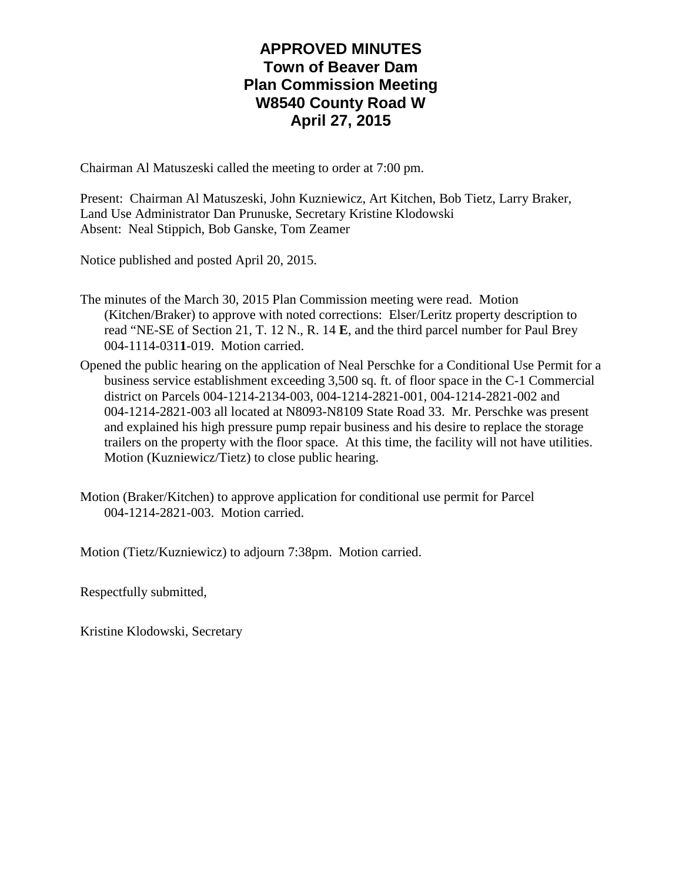## **APPROVED MINUTES Town of Beaver Dam Plan Commission Meeting W8540 County Road W April 27, 2015**

Chairman Al Matuszeski called the meeting to order at 7:00 pm.

Present: Chairman Al Matuszeski, John Kuzniewicz, Art Kitchen, Bob Tietz, Larry Braker, Land Use Administrator Dan Prunuske, Secretary Kristine Klodowski Absent: Neal Stippich, Bob Ganske, Tom Zeamer

Notice published and posted April 20, 2015.

- The minutes of the March 30, 2015 Plan Commission meeting were read. Motion (Kitchen/Braker) to approve with noted corrections: Elser/Leritz property description to read "NE-SE of Section 21, T. 12 N., R. 14 **E**, and the third parcel number for Paul Brey 004-1114-031**1**-019. Motion carried.
- Opened the public hearing on the application of Neal Perschke for a Conditional Use Permit for a business service establishment exceeding 3,500 sq. ft. of floor space in the C-1 Commercial district on Parcels 004-1214-2134-003, 004-1214-2821-001, 004-1214-2821-002 and 004-1214-2821-003 all located at N8093-N8109 State Road 33. Mr. Perschke was present and explained his high pressure pump repair business and his desire to replace the storage trailers on the property with the floor space. At this time, the facility will not have utilities. Motion (Kuzniewicz/Tietz) to close public hearing.
- Motion (Braker/Kitchen) to approve application for conditional use permit for Parcel 004-1214-2821-003. Motion carried.

Motion (Tietz/Kuzniewicz) to adjourn 7:38pm. Motion carried.

Respectfully submitted,

Kristine Klodowski, Secretary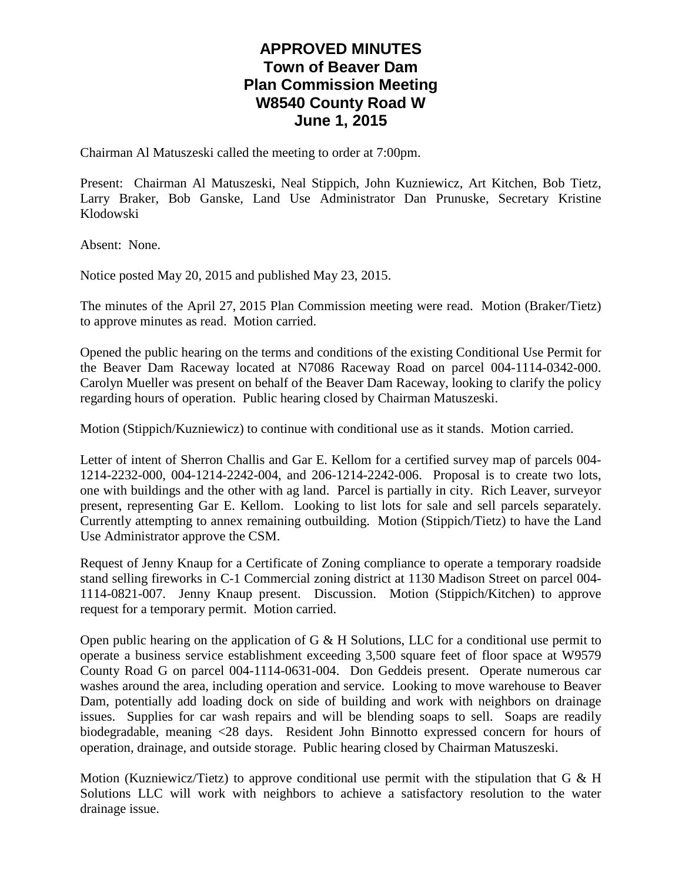## **APPROVED MINUTES Town of Beaver Dam Plan Commission Meeting W8540 County Road W June 1, 2015**

Chairman Al Matuszeski called the meeting to order at 7:00pm.

Present: Chairman Al Matuszeski, Neal Stippich, John Kuzniewicz, Art Kitchen, Bob Tietz, Larry Braker, Bob Ganske, Land Use Administrator Dan Prunuske, Secretary Kristine Klodowski

Absent: None.

Notice posted May 20, 2015 and published May 23, 2015.

The minutes of the April 27, 2015 Plan Commission meeting were read. Motion (Braker/Tietz) to approve minutes as read. Motion carried.

Opened the public hearing on the terms and conditions of the existing Conditional Use Permit for the Beaver Dam Raceway located at N7086 Raceway Road on parcel 004-1114-0342-000. Carolyn Mueller was present on behalf of the Beaver Dam Raceway, looking to clarify the policy regarding hours of operation. Public hearing closed by Chairman Matuszeski.

Motion (Stippich/Kuzniewicz) to continue with conditional use as it stands. Motion carried.

Letter of intent of Sherron Challis and Gar E. Kellom for a certified survey map of parcels 004- 1214-2232-000, 004-1214-2242-004, and 206-1214-2242-006. Proposal is to create two lots, one with buildings and the other with ag land. Parcel is partially in city. Rich Leaver, surveyor present, representing Gar E. Kellom. Looking to list lots for sale and sell parcels separately. Currently attempting to annex remaining outbuilding. Motion (Stippich/Tietz) to have the Land Use Administrator approve the CSM.

Request of Jenny Knaup for a Certificate of Zoning compliance to operate a temporary roadside stand selling fireworks in C-1 Commercial zoning district at 1130 Madison Street on parcel 004- 1114-0821-007. Jenny Knaup present. Discussion. Motion (Stippich/Kitchen) to approve request for a temporary permit. Motion carried.

Open public hearing on the application of G  $\&$  H Solutions, LLC for a conditional use permit to operate a business service establishment exceeding 3,500 square feet of floor space at W9579 County Road G on parcel 004-1114-0631-004. Don Geddeis present. Operate numerous car washes around the area, including operation and service. Looking to move warehouse to Beaver Dam, potentially add loading dock on side of building and work with neighbors on drainage issues. Supplies for car wash repairs and will be blending soaps to sell. Soaps are readily biodegradable, meaning <28 days. Resident John Binnotto expressed concern for hours of operation, drainage, and outside storage. Public hearing closed by Chairman Matuszeski.

Motion (Kuzniewicz/Tietz) to approve conditional use permit with the stipulation that G  $\&$  H Solutions LLC will work with neighbors to achieve a satisfactory resolution to the water drainage issue.